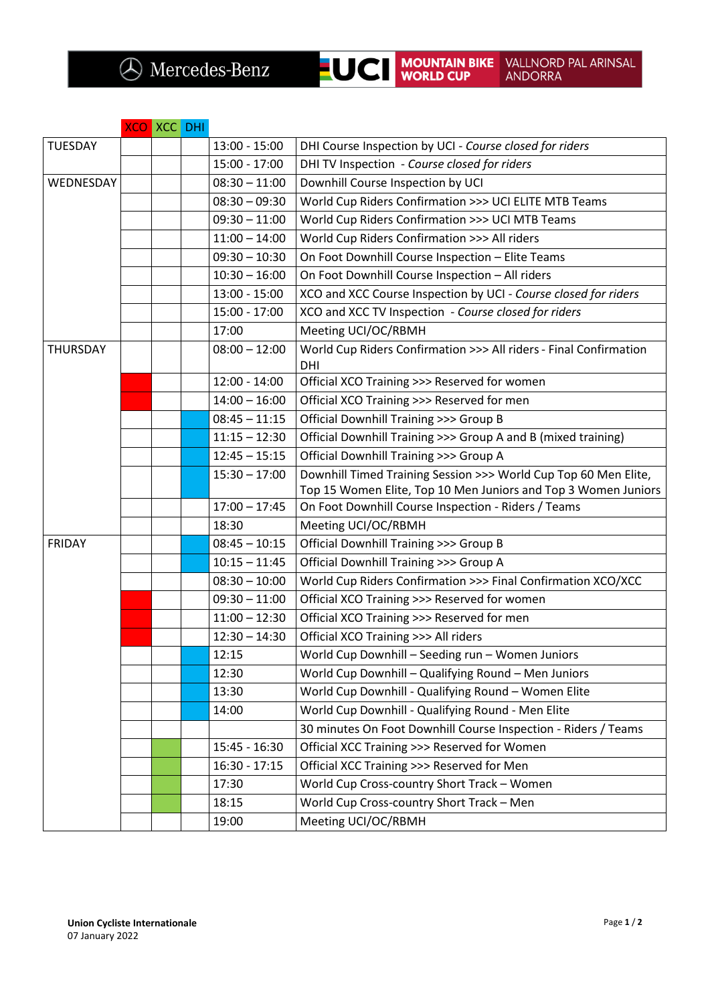## XCO XCC DHI

| <b>TUESDAY</b>  |  | $13:00 - 15:00$ | DHI Course Inspection by UCI - Course closed for riders                  |
|-----------------|--|-----------------|--------------------------------------------------------------------------|
|                 |  | $15:00 - 17:00$ | DHI TV Inspection - Course closed for riders                             |
| WEDNESDAY       |  | $08:30 - 11:00$ | Downhill Course Inspection by UCI                                        |
|                 |  | $08:30 - 09:30$ | World Cup Riders Confirmation >>> UCI ELITE MTB Teams                    |
|                 |  | $09:30 - 11:00$ | World Cup Riders Confirmation >>> UCI MTB Teams                          |
|                 |  | $11:00 - 14:00$ | World Cup Riders Confirmation >>> All riders                             |
|                 |  | $09:30 - 10:30$ | On Foot Downhill Course Inspection - Elite Teams                         |
|                 |  | $10:30 - 16:00$ | On Foot Downhill Course Inspection - All riders                          |
|                 |  | $13:00 - 15:00$ | XCO and XCC Course Inspection by UCI - Course closed for riders          |
|                 |  | $15:00 - 17:00$ | XCO and XCC TV Inspection - Course closed for riders                     |
|                 |  | 17:00           | Meeting UCI/OC/RBMH                                                      |
| <b>THURSDAY</b> |  | $08:00 - 12:00$ | World Cup Riders Confirmation >>> All riders - Final Confirmation<br>DHI |
|                 |  | $12:00 - 14:00$ | Official XCO Training >>> Reserved for women                             |
|                 |  | $14:00 - 16:00$ | Official XCO Training >>> Reserved for men                               |
|                 |  | $08:45 - 11:15$ | Official Downhill Training >>> Group B                                   |
|                 |  | $11:15 - 12:30$ | Official Downhill Training >>> Group A and B (mixed training)            |
|                 |  | $12:45 - 15:15$ | Official Downhill Training >>> Group A                                   |
|                 |  | $15:30 - 17:00$ | Downhill Timed Training Session >>> World Cup Top 60 Men Elite,          |
|                 |  |                 | Top 15 Women Elite, Top 10 Men Juniors and Top 3 Women Juniors           |
|                 |  | $17:00 - 17:45$ | On Foot Downhill Course Inspection - Riders / Teams                      |
|                 |  | 18:30           | Meeting UCI/OC/RBMH                                                      |
| <b>FRIDAY</b>   |  | $08:45 - 10:15$ | <b>Official Downhill Training &gt;&gt;&gt; Group B</b>                   |
|                 |  | $10:15 - 11:45$ | Official Downhill Training >>> Group A                                   |
|                 |  | $08:30 - 10:00$ | World Cup Riders Confirmation >>> Final Confirmation XCO/XCC             |
|                 |  | $09:30 - 11:00$ | Official XCO Training >>> Reserved for women                             |
|                 |  | $11:00 - 12:30$ | Official XCO Training >>> Reserved for men                               |
|                 |  | $12:30 - 14:30$ | Official XCO Training >>> All riders                                     |
|                 |  | 12:15           | World Cup Downhill - Seeding run - Women Juniors                         |
|                 |  | 12:30           | World Cup Downhill - Qualifying Round - Men Juniors                      |
|                 |  | 13:30           | World Cup Downhill - Qualifying Round - Women Elite                      |
|                 |  | 14:00           | World Cup Downhill - Qualifying Round - Men Elite                        |
|                 |  |                 | 30 minutes On Foot Downhill Course Inspection - Riders / Teams           |
|                 |  | $15:45 - 16:30$ | Official XCC Training >>> Reserved for Women                             |
|                 |  | $16:30 - 17:15$ | Official XCC Training >>> Reserved for Men                               |
|                 |  | 17:30           | World Cup Cross-country Short Track - Women                              |
|                 |  | 18:15           | World Cup Cross-country Short Track - Men                                |
|                 |  | 19:00           | Meeting UCI/OC/RBMH                                                      |